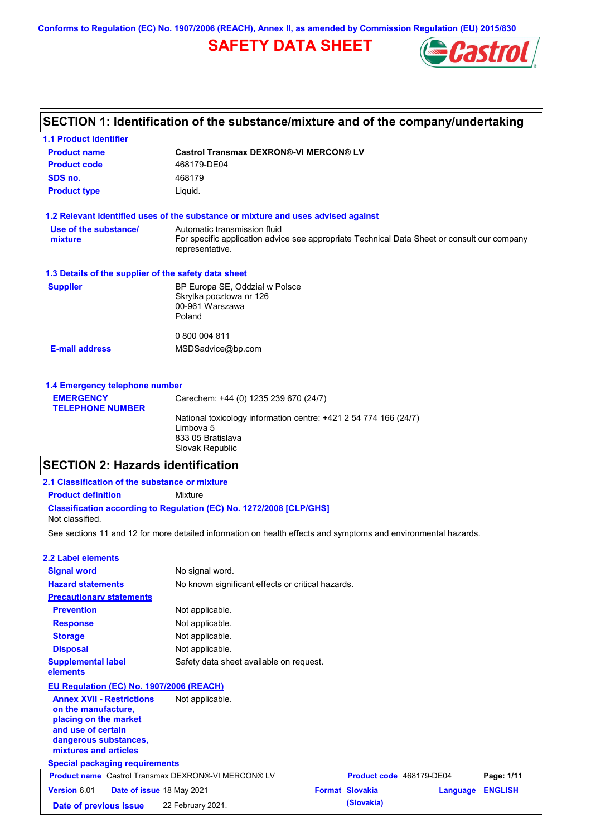**Conforms to Regulation (EC) No. 1907/2006 (REACH), Annex II, as amended by Commission Regulation (EU) 2015/830**

# **SAFETY DATA SHEET**



# **SECTION 1: Identification of the substance/mixture and of the company/undertaking**

| <b>1.1 Product identifier</b>                        |                                                                                                                |
|------------------------------------------------------|----------------------------------------------------------------------------------------------------------------|
| <b>Product name</b>                                  | <b>Castrol Transmax DEXRON®-VI MERCON® LV</b>                                                                  |
| <b>Product code</b>                                  | 468179-DE04                                                                                                    |
| SDS no.                                              | 468179                                                                                                         |
| <b>Product type</b>                                  | Liquid.                                                                                                        |
|                                                      | 1.2 Relevant identified uses of the substance or mixture and uses advised against                              |
| Use of the substance/                                | Automatic transmission fluid                                                                                   |
| mixture                                              | For specific application advice see appropriate Technical Data Sheet or consult our company<br>representative. |
| 1.3 Details of the supplier of the safety data sheet |                                                                                                                |
| <b>Supplier</b>                                      | BP Europa SE, Oddział w Polsce                                                                                 |
|                                                      | Skrytka pocztowa nr 126                                                                                        |
|                                                      | 00-961 Warszawa<br>Poland                                                                                      |
|                                                      |                                                                                                                |
|                                                      | 0 800 004 811                                                                                                  |
| <b>E-mail address</b>                                | MSDSadvice@bp.com                                                                                              |
|                                                      |                                                                                                                |
| 1.4 Emergency telephone number                       |                                                                                                                |
|                                                      |                                                                                                                |

| <b>EMERGENCY</b>        | Carechem: +44 (0) 1235 239 670 (24/7)                                                              |
|-------------------------|----------------------------------------------------------------------------------------------------|
| <b>TELEPHONE NUMBER</b> |                                                                                                    |
|                         | National toxicology information centre: +421 2 54 774 166 (24/7)<br>Limbova 5<br>833 05 Bratislava |
|                         | Slovak Republic                                                                                    |

# **SECTION 2: Hazards identification**

| 2.1 Classification of the substance or mixture                                                                                                           |                                                                                                                |  |                          |          |                |
|----------------------------------------------------------------------------------------------------------------------------------------------------------|----------------------------------------------------------------------------------------------------------------|--|--------------------------|----------|----------------|
| <b>Product definition</b>                                                                                                                                | Mixture                                                                                                        |  |                          |          |                |
|                                                                                                                                                          | <b>Classification according to Regulation (EC) No. 1272/2008 [CLP/GHS]</b>                                     |  |                          |          |                |
| Not classified.                                                                                                                                          |                                                                                                                |  |                          |          |                |
|                                                                                                                                                          | See sections 11 and 12 for more detailed information on health effects and symptoms and environmental hazards. |  |                          |          |                |
| 2.2 Label elements                                                                                                                                       |                                                                                                                |  |                          |          |                |
| <b>Signal word</b>                                                                                                                                       | No signal word.                                                                                                |  |                          |          |                |
| <b>Hazard statements</b>                                                                                                                                 | No known significant effects or critical hazards.                                                              |  |                          |          |                |
| <b>Precautionary statements</b>                                                                                                                          |                                                                                                                |  |                          |          |                |
| <b>Prevention</b>                                                                                                                                        | Not applicable.                                                                                                |  |                          |          |                |
| <b>Response</b>                                                                                                                                          | Not applicable.                                                                                                |  |                          |          |                |
| <b>Storage</b>                                                                                                                                           | Not applicable.                                                                                                |  |                          |          |                |
| <b>Disposal</b>                                                                                                                                          | Not applicable.                                                                                                |  |                          |          |                |
| <b>Supplemental label</b><br>elements                                                                                                                    | Safety data sheet available on request.                                                                        |  |                          |          |                |
| EU Regulation (EC) No. 1907/2006 (REACH)                                                                                                                 |                                                                                                                |  |                          |          |                |
| <b>Annex XVII - Restrictions</b><br>on the manufacture,<br>placing on the market<br>and use of certain<br>dangerous substances,<br>mixtures and articles | Not applicable.                                                                                                |  |                          |          |                |
| <b>Special packaging requirements</b>                                                                                                                    |                                                                                                                |  |                          |          |                |
| <b>Product name</b> Castrol Transmax DEXRON®-VI MERCON® LV                                                                                               |                                                                                                                |  | Product code 468179-DE04 |          | Page: 1/11     |
| Version 6.01<br>Date of issue 18 May 2021                                                                                                                |                                                                                                                |  | <b>Format Slovakia</b>   | Language | <b>ENGLISH</b> |
| Date of previous issue                                                                                                                                   | 22 February 2021.                                                                                              |  | (Slovakia)               |          |                |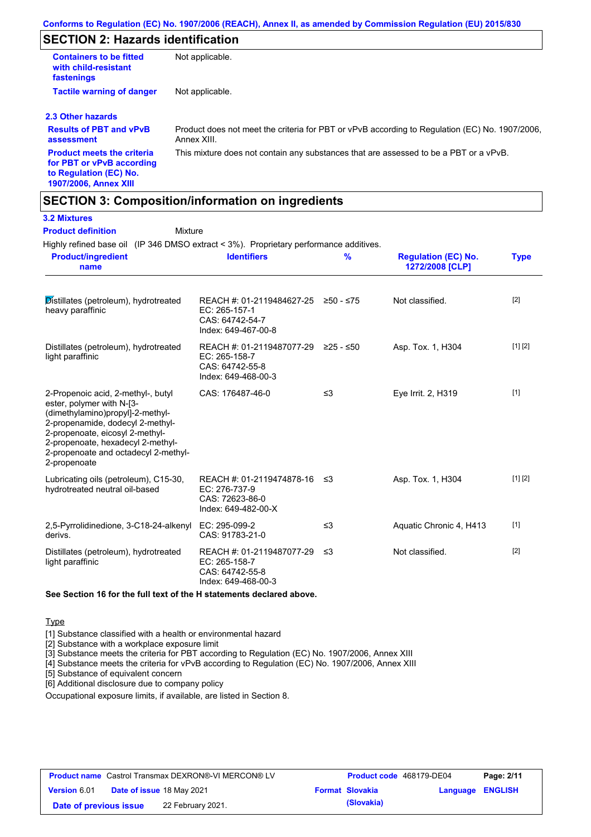# **SECTION 2: Hazards identification**

| <b>Containers to be fitted</b><br>with child-resistant<br>fastenings                                                     | Not applicable.                                                                                               |
|--------------------------------------------------------------------------------------------------------------------------|---------------------------------------------------------------------------------------------------------------|
| <b>Tactile warning of danger</b>                                                                                         | Not applicable.                                                                                               |
| 2.3 Other hazards                                                                                                        |                                                                                                               |
| <b>Results of PBT and vPvB</b><br>assessment                                                                             | Product does not meet the criteria for PBT or vPvB according to Regulation (EC) No. 1907/2006.<br>Annex XIII. |
| <b>Product meets the criteria</b><br>for PBT or vPvB according<br>to Regulation (EC) No.<br><b>1907/2006, Annex XIII</b> | This mixture does not contain any substances that are assessed to be a PBT or a vPvB.                         |

### **SECTION 3: Composition/information on ingredients**

### **3.2 Mixtures**

| <b>Product definition</b><br>Mixture<br>Highly refined base oil (IP 346 DMSO extract < 3%). Proprietary performance additives.                                                                                                                                          |                                                                                                |               |                                               |             |
|-------------------------------------------------------------------------------------------------------------------------------------------------------------------------------------------------------------------------------------------------------------------------|------------------------------------------------------------------------------------------------|---------------|-----------------------------------------------|-------------|
| <b>Product/ingredient</b><br>name                                                                                                                                                                                                                                       | <b>Identifiers</b>                                                                             | $\frac{9}{6}$ | <b>Regulation (EC) No.</b><br>1272/2008 [CLP] | <b>Type</b> |
| Distillates (petroleum), hydrotreated<br>heavy paraffinic                                                                                                                                                                                                               | REACH #: 01-2119484627-25 ≥50 - ≤75<br>EC: 265-157-1<br>CAS: 64742-54-7<br>Index: 649-467-00-8 |               | Not classified.                               | $[2]$       |
| Distillates (petroleum), hydrotreated<br>light paraffinic                                                                                                                                                                                                               | REACH #: 01-2119487077-29 ≥25 - ≤50<br>EC: 265-158-7<br>CAS: 64742-55-8<br>Index: 649-468-00-3 |               | Asp. Tox. 1, H304                             | [1] [2]     |
| 2-Propenoic acid, 2-methyl-, butyl<br>ester, polymer with N-[3-<br>(dimethylamino)propyl]-2-methyl-<br>2-propenamide, dodecyl 2-methyl-<br>2-propenoate, eicosyl 2-methyl-<br>2-propenoate, hexadecyl 2-methyl-<br>2-propenoate and octadecyl 2-methyl-<br>2-propenoate | CAS: 176487-46-0                                                                               | $\leq$ 3      | Eye Irrit. 2, H319                            | $[1]$       |
| Lubricating oils (petroleum), C15-30,<br>hydrotreated neutral oil-based                                                                                                                                                                                                 | REACH #: 01-2119474878-16 ≤3<br>EC: 276-737-9<br>CAS: 72623-86-0<br>Index: 649-482-00-X        |               | Asp. Tox. 1, H304                             | [1] [2]     |
| 2,5-Pyrrolidinedione, 3-C18-24-alkenyl<br>derivs.                                                                                                                                                                                                                       | EC: 295-099-2<br>CAS: 91783-21-0                                                               | $\leq$ 3      | Aquatic Chronic 4, H413                       | $[1]$       |
| Distillates (petroleum), hydrotreated<br>light paraffinic                                                                                                                                                                                                               | REACH #: 01-2119487077-29<br>EC: 265-158-7<br>CAS: 64742-55-8<br>Index: 649-468-00-3           | ו≥ ≤          | Not classified.                               | $[2]$       |

### **See Section 16 for the full text of the H statements declared above.**

**Type** 

[1] Substance classified with a health or environmental hazard

[2] Substance with a workplace exposure limit

[3] Substance meets the criteria for PBT according to Regulation (EC) No. 1907/2006, Annex XIII

[4] Substance meets the criteria for vPvB according to Regulation (EC) No. 1907/2006, Annex XIII

[5] Substance of equivalent concern

[6] Additional disclosure due to company policy

Occupational exposure limits, if available, are listed in Section 8.

| <b>Product name</b> Castrol Transmax DEXRON®-VI MERCON® LV |  |                           | <b>Product code</b> 468179-DE04 |                  | Page: 2/11 |
|------------------------------------------------------------|--|---------------------------|---------------------------------|------------------|------------|
| <b>Version 6.01</b>                                        |  | Date of issue 18 May 2021 | <b>Format Slovakia</b>          | Language ENGLISH |            |
| Date of previous issue                                     |  | 22 February 2021.         | (Slovakia)                      |                  |            |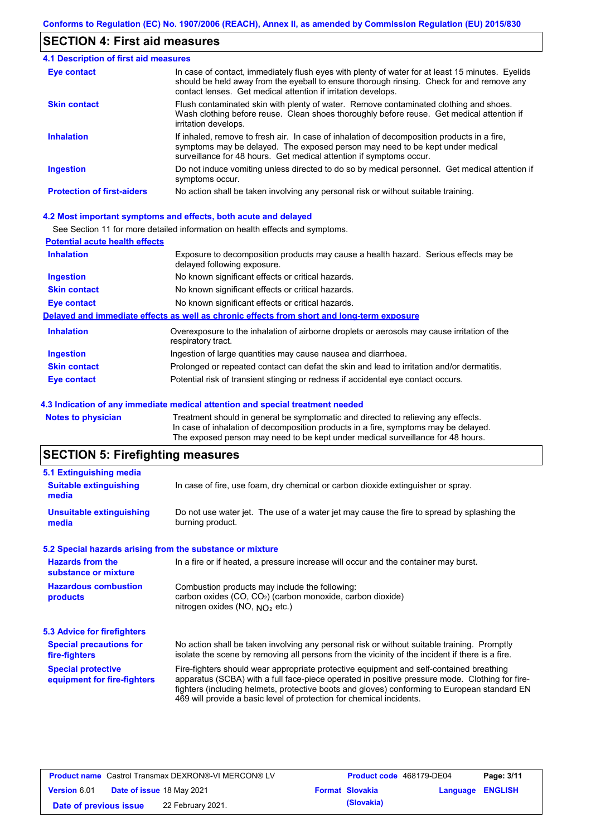### **SECTION 4: First aid measures**

| 4.1 Description of first aid measures |                                                                                                                                                                                                                                                                |
|---------------------------------------|----------------------------------------------------------------------------------------------------------------------------------------------------------------------------------------------------------------------------------------------------------------|
| Eye contact                           | In case of contact, immediately flush eyes with plenty of water for at least 15 minutes. Eyelids<br>should be held away from the eyeball to ensure thorough rinsing. Check for and remove any<br>contact lenses. Get medical attention if irritation develops. |
| <b>Skin contact</b>                   | Flush contaminated skin with plenty of water. Remove contaminated clothing and shoes.<br>Wash clothing before reuse. Clean shoes thoroughly before reuse. Get medical attention if<br>irritation develops.                                                     |
| <b>Inhalation</b>                     | If inhaled, remove to fresh air. In case of inhalation of decomposition products in a fire,<br>symptoms may be delayed. The exposed person may need to be kept under medical<br>surveillance for 48 hours. Get medical attention if symptoms occur.            |
| <b>Ingestion</b>                      | Do not induce vomiting unless directed to do so by medical personnel. Get medical attention if<br>symptoms occur.                                                                                                                                              |
| <b>Protection of first-aiders</b>     | No action shall be taken involving any personal risk or without suitable training.                                                                                                                                                                             |

#### **4.2 Most important symptoms and effects, both acute and delayed**

See Section 11 for more detailed information on health effects and symptoms.

| <b>Potential acute health effects</b> |                                                                                                                     |
|---------------------------------------|---------------------------------------------------------------------------------------------------------------------|
| <b>Inhalation</b>                     | Exposure to decomposition products may cause a health hazard. Serious effects may be<br>delayed following exposure. |
| <b>Ingestion</b>                      | No known significant effects or critical hazards.                                                                   |
| <b>Skin contact</b>                   | No known significant effects or critical hazards.                                                                   |
| Eye contact                           | No known significant effects or critical hazards.                                                                   |
|                                       | Delayed and immediate effects as well as chronic effects from short and long-term exposure                          |
| <b>Inhalation</b>                     | Overexposure to the inhalation of airborne droplets or aerosols may cause irritation of the<br>respiratory tract.   |
| <b>Ingestion</b>                      | Ingestion of large quantities may cause nausea and diarrhoea.                                                       |
| <b>Skin contact</b>                   | Prolonged or repeated contact can defat the skin and lead to irritation and/or dermatitis.                          |
| Eye contact                           | Potential risk of transient stinging or redness if accidental eye contact occurs.                                   |

#### **4.3 Indication of any immediate medical attention and special treatment needed**

**Notes to physician** Treatment should in general be symptomatic and directed to relieving any effects. In case of inhalation of decomposition products in a fire, symptoms may be delayed. The exposed person may need to be kept under medical surveillance for 48 hours.

# **SECTION 5: Firefighting measures**

| 5.1 Extinguishing media                                                                                                                                                                                 |                                                                                                                                                                                                                                                                                                                                                                   |  |  |  |  |
|---------------------------------------------------------------------------------------------------------------------------------------------------------------------------------------------------------|-------------------------------------------------------------------------------------------------------------------------------------------------------------------------------------------------------------------------------------------------------------------------------------------------------------------------------------------------------------------|--|--|--|--|
| <b>Suitable extinguishing</b><br>media                                                                                                                                                                  | In case of fire, use foam, dry chemical or carbon dioxide extinguisher or spray.                                                                                                                                                                                                                                                                                  |  |  |  |  |
| <b>Unsuitable extinguishing</b><br>media                                                                                                                                                                | Do not use water jet. The use of a water jet may cause the fire to spread by splashing the<br>burning product.                                                                                                                                                                                                                                                    |  |  |  |  |
| 5.2 Special hazards arising from the substance or mixture                                                                                                                                               |                                                                                                                                                                                                                                                                                                                                                                   |  |  |  |  |
| <b>Hazards from the</b><br>substance or mixture                                                                                                                                                         | In a fire or if heated, a pressure increase will occur and the container may burst.                                                                                                                                                                                                                                                                               |  |  |  |  |
| <b>Hazardous combustion</b><br>Combustion products may include the following:<br>carbon oxides (CO, CO <sub>2</sub> ) (carbon monoxide, carbon dioxide)<br>products<br>nitrogen oxides (NO, $NO2$ etc.) |                                                                                                                                                                                                                                                                                                                                                                   |  |  |  |  |
| 5.3 Advice for firefighters                                                                                                                                                                             |                                                                                                                                                                                                                                                                                                                                                                   |  |  |  |  |
| <b>Special precautions for</b><br>fire-fighters                                                                                                                                                         | No action shall be taken involving any personal risk or without suitable training. Promptly<br>isolate the scene by removing all persons from the vicinity of the incident if there is a fire.                                                                                                                                                                    |  |  |  |  |
| <b>Special protective</b><br>equipment for fire-fighters                                                                                                                                                | Fire-fighters should wear appropriate protective equipment and self-contained breathing<br>apparatus (SCBA) with a full face-piece operated in positive pressure mode. Clothing for fire-<br>fighters (including helmets, protective boots and gloves) conforming to European standard EN<br>469 will provide a basic level of protection for chemical incidents. |  |  |  |  |

| <b>Product name</b> Castrol Transmax DEXRON®-VI MERCON® LV |  | <b>Product code</b> 468179-DE04  |                        | Page: 3/11       |  |
|------------------------------------------------------------|--|----------------------------------|------------------------|------------------|--|
| <b>Version 6.01</b>                                        |  | <b>Date of issue 18 May 2021</b> | <b>Format Slovakia</b> | Language ENGLISH |  |
| Date of previous issue                                     |  | 22 February 2021.                | (Slovakia)             |                  |  |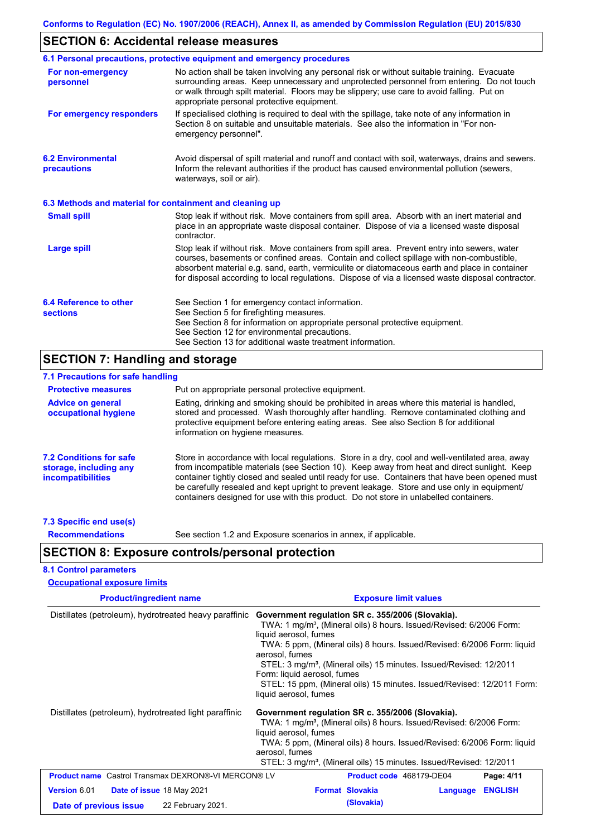# **SECTION 6: Accidental release measures**

|                                                          | 6.1 Personal precautions, protective equipment and emergency procedures                                                                                                                                                                                                                                                                                                                        |
|----------------------------------------------------------|------------------------------------------------------------------------------------------------------------------------------------------------------------------------------------------------------------------------------------------------------------------------------------------------------------------------------------------------------------------------------------------------|
| For non-emergency<br>personnel                           | No action shall be taken involving any personal risk or without suitable training. Evacuate<br>surrounding areas. Keep unnecessary and unprotected personnel from entering. Do not touch<br>or walk through spilt material. Floors may be slippery; use care to avoid falling. Put on<br>appropriate personal protective equipment.                                                            |
| For emergency responders                                 | If specialised clothing is required to deal with the spillage, take note of any information in<br>Section 8 on suitable and unsuitable materials. See also the information in "For non-<br>emergency personnel".                                                                                                                                                                               |
| <b>6.2 Environmental</b><br>precautions                  | Avoid dispersal of spilt material and runoff and contact with soil, waterways, drains and sewers.<br>Inform the relevant authorities if the product has caused environmental pollution (sewers,<br>waterways, soil or air).                                                                                                                                                                    |
| 6.3 Methods and material for containment and cleaning up |                                                                                                                                                                                                                                                                                                                                                                                                |
| <b>Small spill</b>                                       | Stop leak if without risk. Move containers from spill area. Absorb with an inert material and<br>place in an appropriate waste disposal container. Dispose of via a licensed waste disposal<br>contractor.                                                                                                                                                                                     |
| Large spill                                              | Stop leak if without risk. Move containers from spill area. Prevent entry into sewers, water<br>courses, basements or confined areas. Contain and collect spillage with non-combustible,<br>absorbent material e.g. sand, earth, vermiculite or diatomaceous earth and place in container<br>for disposal according to local regulations. Dispose of via a licensed waste disposal contractor. |
| 6.4 Reference to other<br><b>sections</b>                | See Section 1 for emergency contact information.<br>See Section 5 for firefighting measures.<br>See Section 8 for information on appropriate personal protective equipment.<br>See Section 12 for environmental precautions.<br>See Section 13 for additional waste treatment information.                                                                                                     |

# **SECTION 7: Handling and storage**

| 7.1 Precautions for safe handling                                                    |                                                                                                                                                                                                                                                                                                                                                                                                                                                                                          |
|--------------------------------------------------------------------------------------|------------------------------------------------------------------------------------------------------------------------------------------------------------------------------------------------------------------------------------------------------------------------------------------------------------------------------------------------------------------------------------------------------------------------------------------------------------------------------------------|
| <b>Protective measures</b>                                                           | Put on appropriate personal protective equipment.                                                                                                                                                                                                                                                                                                                                                                                                                                        |
| <b>Advice on general</b><br>occupational hygiene                                     | Eating, drinking and smoking should be prohibited in areas where this material is handled,<br>stored and processed. Wash thoroughly after handling. Remove contaminated clothing and<br>protective equipment before entering eating areas. See also Section 8 for additional<br>information on hygiene measures.                                                                                                                                                                         |
| <b>7.2 Conditions for safe</b><br>storage, including any<br><i>incompatibilities</i> | Store in accordance with local requiations. Store in a dry, cool and well-ventilated area, away<br>from incompatible materials (see Section 10). Keep away from heat and direct sunlight. Keep<br>container tightly closed and sealed until ready for use. Containers that have been opened must<br>be carefully resealed and kept upright to prevent leakage. Store and use only in equipment/<br>containers designed for use with this product. Do not store in unlabelled containers. |
| 7.3 Specific end use(s)                                                              |                                                                                                                                                                                                                                                                                                                                                                                                                                                                                          |

**Recommendations**

See section 1.2 and Exposure scenarios in annex, if applicable.

### **SECTION 8: Exposure controls/personal protection**

### **8.1 Control parameters**

| <b>Occupational exposure limits</b> |  |  |
|-------------------------------------|--|--|
|                                     |  |  |

| <b>Product/ingredient name</b>                             | <b>Exposure limit values</b>                                                                                                                                                                                                                                                                                                                                                                                                                                                  |  |  |  |
|------------------------------------------------------------|-------------------------------------------------------------------------------------------------------------------------------------------------------------------------------------------------------------------------------------------------------------------------------------------------------------------------------------------------------------------------------------------------------------------------------------------------------------------------------|--|--|--|
| Distillates (petroleum), hydrotreated heavy paraffinic     | Government regulation SR c. 355/2006 (Slovakia).<br>TWA: 1 mg/m <sup>3</sup> , (Mineral oils) 8 hours. Issued/Revised: 6/2006 Form:<br>liquid aerosol, fumes<br>TWA: 5 ppm, (Mineral oils) 8 hours. Issued/Revised: 6/2006 Form: liquid<br>aerosol, fumes<br>STEL: 3 mg/m <sup>3</sup> , (Mineral oils) 15 minutes. Issued/Revised: 12/2011<br>Form: liquid aerosol, fumes<br>STEL: 15 ppm, (Mineral oils) 15 minutes. Issued/Revised: 12/2011 Form:<br>liquid aerosol, fumes |  |  |  |
| Distillates (petroleum), hydrotreated light paraffinic     | Government regulation SR c. 355/2006 (Slovakia).<br>TWA: 1 mg/m <sup>3</sup> , (Mineral oils) 8 hours. Issued/Revised: 6/2006 Form:<br>liquid aerosol, fumes<br>TWA: 5 ppm, (Mineral oils) 8 hours. Issued/Revised: 6/2006 Form: liquid<br>aerosol, fumes<br>STEL: 3 mg/m <sup>3</sup> , (Mineral oils) 15 minutes. Issued/Revised: 12/2011                                                                                                                                   |  |  |  |
| <b>Product name</b> Castrol Transmax DEXRON®-VI MERCON® LV | Page: 4/11<br><b>Product code</b> 468179-DE04                                                                                                                                                                                                                                                                                                                                                                                                                                 |  |  |  |
| Version 6.01<br><b>Date of issue 18 May 2021</b>           | <b>Format Slovakia</b><br><b>ENGLISH</b><br>Language                                                                                                                                                                                                                                                                                                                                                                                                                          |  |  |  |
| 22 February 2021.<br>Date of previous issue                | (Slovakia)                                                                                                                                                                                                                                                                                                                                                                                                                                                                    |  |  |  |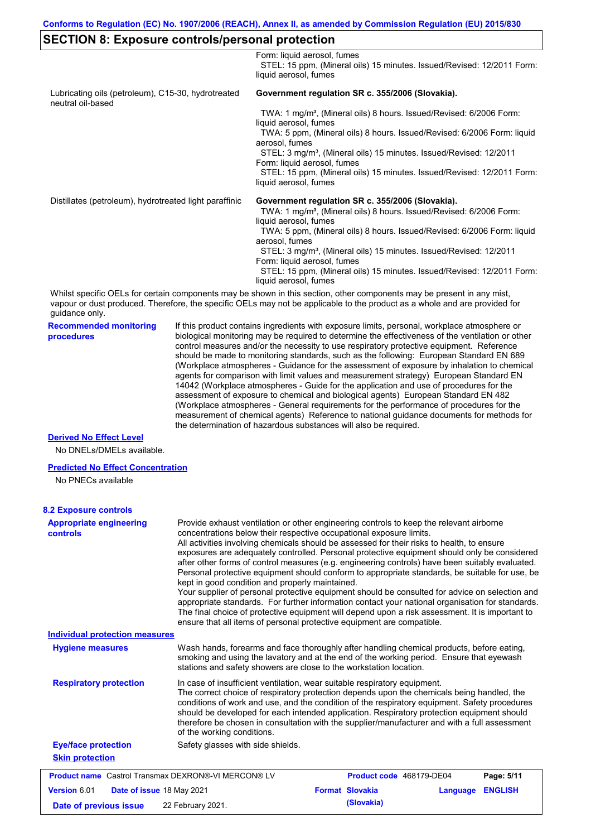### **SECTION 8: Exposure controls/personal protection**

**Recommended monitoring procedures** If this product contains ingredients with exposure limits, personal, workplace atmosphere or biological monitoring may be required to determine the effectiveness of the ventilation or other control measures and/or the necessity to use respiratory protective equipment. Reference should be made to monitoring standards, such as the following: European Standard EN 689 (Workplace atmospheres - Guidance for the assessment of exposure by inhalation to chemical agents for comparison with limit values and measurement strategy) European Standard EN 14042 (Workplace atmospheres - Guide for the application and use of procedures for the assessment of exposure to chemical and biological agents) European Standard EN 482 (Workplace atmospheres - General requirements for the performance of procedures for the Whilst specific OELs for certain components may be shown in this section, other components may be present in any mist, vapour or dust produced. Therefore, the specific OELs may not be applicable to the product as a whole and are provided for guidance only. Form: liquid aerosol, fumes STEL: 15 ppm, (Mineral oils) 15 minutes. Issued/Revised: 12/2011 Form: liquid aerosol, fumes Lubricating oils (petroleum), C15-30, hydrotreated neutral oil-based **Government regulation SR c. 355/2006 (Slovakia).** TWA: 1 mg/m<sup>3</sup>, (Mineral oils) 8 hours. Issued/Revised: 6/2006 Form: liquid aerosol, fumes TWA: 5 ppm, (Mineral oils) 8 hours. Issued/Revised: 6/2006 Form: liquid aerosol, fumes STEL: 3 mg/m<sup>3</sup>, (Mineral oils) 15 minutes. Issued/Revised: 12/2011 Form: liquid aerosol, fumes STEL: 15 ppm, (Mineral oils) 15 minutes. Issued/Revised: 12/2011 Form: liquid aerosol, fumes Distillates (petroleum), hydrotreated light paraffinic **Government regulation SR c. 355/2006 (Slovakia).** TWA: 1 mg/m<sup>3</sup>, (Mineral oils) 8 hours. Issued/Revised: 6/2006 Form: liquid aerosol, fumes TWA: 5 ppm, (Mineral oils) 8 hours. Issued/Revised: 6/2006 Form: liquid aerosol, fumes STEL: 3 mg/m<sup>3</sup>, (Mineral oils) 15 minutes. Issued/Revised: 12/2011 Form: liquid aerosol, fumes STEL: 15 ppm, (Mineral oils) 15 minutes. Issued/Revised: 12/2011 Form: liquid aerosol, fumes

the determination of hazardous substances will also be required.

measurement of chemical agents) Reference to national guidance documents for methods for

#### **Derived No Effect Level**

No DNELs/DMELs available.

#### **Predicted No Effect Concentration**

No PNECs available

| <b>8.2 Exposure controls</b>               |                                                                                                                                                                                                                                                                                                                                                                                                                                                                                                                                                                                                                                                                                                                                                                                                                                                                                                                                                                                                         |  |  |
|--------------------------------------------|---------------------------------------------------------------------------------------------------------------------------------------------------------------------------------------------------------------------------------------------------------------------------------------------------------------------------------------------------------------------------------------------------------------------------------------------------------------------------------------------------------------------------------------------------------------------------------------------------------------------------------------------------------------------------------------------------------------------------------------------------------------------------------------------------------------------------------------------------------------------------------------------------------------------------------------------------------------------------------------------------------|--|--|
| <b>Appropriate engineering</b><br>controls | Provide exhaust ventilation or other engineering controls to keep the relevant airborne<br>concentrations below their respective occupational exposure limits.<br>All activities involving chemicals should be assessed for their risks to health, to ensure<br>exposures are adequately controlled. Personal protective equipment should only be considered<br>after other forms of control measures (e.g. engineering controls) have been suitably evaluated.<br>Personal protective equipment should conform to appropriate standards, be suitable for use, be<br>kept in good condition and properly maintained.<br>Your supplier of personal protective equipment should be consulted for advice on selection and<br>appropriate standards. For further information contact your national organisation for standards.<br>The final choice of protective equipment will depend upon a risk assessment. It is important to<br>ensure that all items of personal protective equipment are compatible. |  |  |
| <b>Individual protection measures</b>      |                                                                                                                                                                                                                                                                                                                                                                                                                                                                                                                                                                                                                                                                                                                                                                                                                                                                                                                                                                                                         |  |  |
| <b>Hygiene measures</b>                    | Wash hands, forearms and face thoroughly after handling chemical products, before eating,<br>smoking and using the lavatory and at the end of the working period. Ensure that eyewash<br>stations and safety showers are close to the workstation location.                                                                                                                                                                                                                                                                                                                                                                                                                                                                                                                                                                                                                                                                                                                                             |  |  |
| <b>Respiratory protection</b>              | In case of insufficient ventilation, wear suitable respiratory equipment.<br>The correct choice of respiratory protection depends upon the chemicals being handled, the<br>conditions of work and use, and the condition of the respiratory equipment. Safety procedures<br>should be developed for each intended application. Respiratory protection equipment should<br>therefore be chosen in consultation with the supplier/manufacturer and with a full assessment<br>of the working conditions.                                                                                                                                                                                                                                                                                                                                                                                                                                                                                                   |  |  |
| <b>Eye/face protection</b>                 | Safety glasses with side shields.                                                                                                                                                                                                                                                                                                                                                                                                                                                                                                                                                                                                                                                                                                                                                                                                                                                                                                                                                                       |  |  |
| <b>Skin protection</b>                     |                                                                                                                                                                                                                                                                                                                                                                                                                                                                                                                                                                                                                                                                                                                                                                                                                                                                                                                                                                                                         |  |  |
|                                            | <b>Product name</b> Castrol Transmax DEXRON®-VI MERCON® LV<br>Product code 468179-DE04<br>Page: 5/11                                                                                                                                                                                                                                                                                                                                                                                                                                                                                                                                                                                                                                                                                                                                                                                                                                                                                                    |  |  |
| Version 6.01                               | <b>Format Slovakia</b><br><b>ENGLISH</b><br><b>Date of issue 18 May 2021</b><br>Language                                                                                                                                                                                                                                                                                                                                                                                                                                                                                                                                                                                                                                                                                                                                                                                                                                                                                                                |  |  |
| Date of previous issue                     | (Slovakia)<br>22 February 2021.                                                                                                                                                                                                                                                                                                                                                                                                                                                                                                                                                                                                                                                                                                                                                                                                                                                                                                                                                                         |  |  |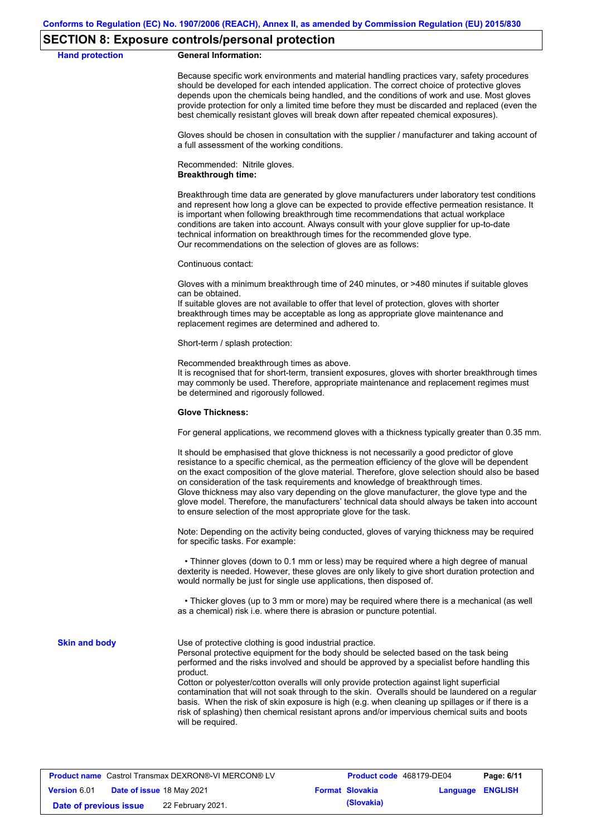### **SECTION 8: Exposure controls/personal protection**

**Hand protection** 

|  | <b>General Information:</b> |
|--|-----------------------------|
|--|-----------------------------|

Because specific work environments and material handling practices vary, safety procedures should be developed for each intended application. The correct choice of protective gloves depends upon the chemicals being handled, and the conditions of work and use. Most gloves provide protection for only a limited time before they must be discarded and replaced (even the best chemically resistant gloves will break down after repeated chemical exposures).

Gloves should be chosen in consultation with the supplier / manufacturer and taking account of a full assessment of the working conditions.

Recommended: Nitrile gloves. **Breakthrough time:**

Breakthrough time data are generated by glove manufacturers under laboratory test conditions and represent how long a glove can be expected to provide effective permeation resistance. It is important when following breakthrough time recommendations that actual workplace conditions are taken into account. Always consult with your glove supplier for up-to-date technical information on breakthrough times for the recommended glove type. Our recommendations on the selection of gloves are as follows:

Continuous contact:

Gloves with a minimum breakthrough time of 240 minutes, or >480 minutes if suitable gloves can be obtained.

If suitable gloves are not available to offer that level of protection, gloves with shorter breakthrough times may be acceptable as long as appropriate glove maintenance and replacement regimes are determined and adhered to.

Short-term / splash protection:

Recommended breakthrough times as above.

It is recognised that for short-term, transient exposures, gloves with shorter breakthrough times may commonly be used. Therefore, appropriate maintenance and replacement regimes must be determined and rigorously followed.

#### **Glove Thickness:**

For general applications, we recommend gloves with a thickness typically greater than 0.35 mm.

It should be emphasised that glove thickness is not necessarily a good predictor of glove resistance to a specific chemical, as the permeation efficiency of the glove will be dependent on the exact composition of the glove material. Therefore, glove selection should also be based on consideration of the task requirements and knowledge of breakthrough times. Glove thickness may also vary depending on the glove manufacturer, the glove type and the glove model. Therefore, the manufacturers' technical data should always be taken into account to ensure selection of the most appropriate glove for the task.

Note: Depending on the activity being conducted, gloves of varying thickness may be required for specific tasks. For example:

 • Thinner gloves (down to 0.1 mm or less) may be required where a high degree of manual dexterity is needed. However, these gloves are only likely to give short duration protection and would normally be just for single use applications, then disposed of.

 • Thicker gloves (up to 3 mm or more) may be required where there is a mechanical (as well as a chemical) risk i.e. where there is abrasion or puncture potential.

**Skin and body**

Use of protective clothing is good industrial practice.

Personal protective equipment for the body should be selected based on the task being performed and the risks involved and should be approved by a specialist before handling this product.

Cotton or polyester/cotton overalls will only provide protection against light superficial contamination that will not soak through to the skin. Overalls should be laundered on a regular basis. When the risk of skin exposure is high (e.g. when cleaning up spillages or if there is a risk of splashing) then chemical resistant aprons and/or impervious chemical suits and boots will be required.

| <b>Product name</b> Castrol Transmax DEXRON®-VI MERCON® LV |  | Product code 468179-DE04  |  | Page: 6/11             |                         |  |
|------------------------------------------------------------|--|---------------------------|--|------------------------|-------------------------|--|
| <b>Version 6.01</b>                                        |  | Date of issue 18 May 2021 |  | <b>Format Slovakia</b> | <b>Language ENGLISH</b> |  |
| Date of previous issue                                     |  | 22 February 2021.         |  | (Slovakia)             |                         |  |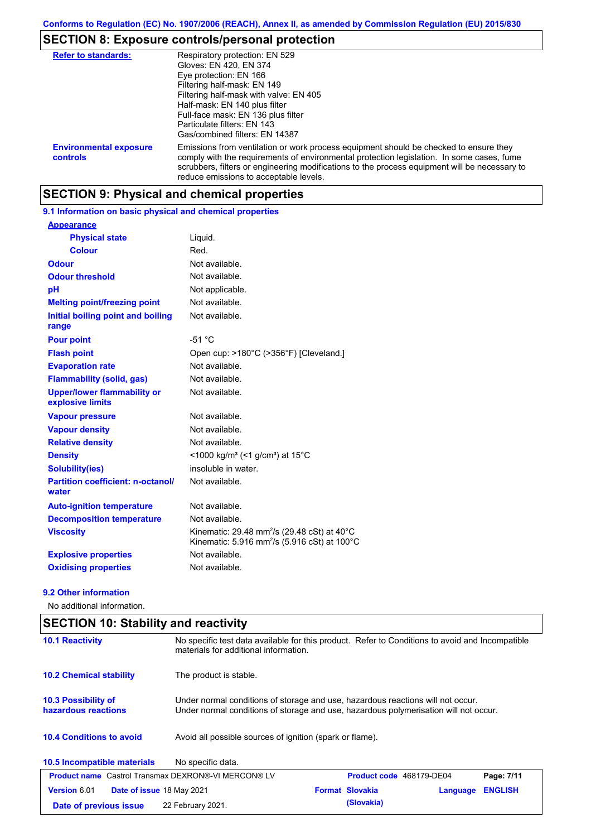# **SECTION 8: Exposure controls/personal protection**

| <b>Refer to standards:</b>                | Respiratory protection: EN 529<br>Gloves: EN 420, EN 374<br>Eye protection: EN 166<br>Filtering half-mask: EN 149<br>Filtering half-mask with valve: EN 405<br>Half-mask: EN 140 plus filter<br>Full-face mask: EN 136 plus filter<br>Particulate filters: EN 143<br>Gas/combined filters: EN 14387                           |
|-------------------------------------------|-------------------------------------------------------------------------------------------------------------------------------------------------------------------------------------------------------------------------------------------------------------------------------------------------------------------------------|
| <b>Environmental exposure</b><br>controls | Emissions from ventilation or work process equipment should be checked to ensure they<br>comply with the requirements of environmental protection legislation. In some cases, fume<br>scrubbers, filters or engineering modifications to the process equipment will be necessary to<br>reduce emissions to acceptable levels. |

# **SECTION 9: Physical and chemical properties**

**9.1 Information on basic physical and chemical properties**

| <b>Appearance</b>                                      |                                                                                                                                |
|--------------------------------------------------------|--------------------------------------------------------------------------------------------------------------------------------|
| <b>Physical state</b>                                  | Liquid.                                                                                                                        |
| <b>Colour</b>                                          | Red.                                                                                                                           |
| <b>Odour</b>                                           | Not available.                                                                                                                 |
| <b>Odour threshold</b>                                 | Not available.                                                                                                                 |
| pH                                                     | Not applicable.                                                                                                                |
| <b>Melting point/freezing point</b>                    | Not available.                                                                                                                 |
| Initial boiling point and boiling<br>range             | Not available.                                                                                                                 |
| <b>Pour point</b>                                      | $-51 °C$                                                                                                                       |
| <b>Flash point</b>                                     | Open cup: >180°C (>356°F) [Cleveland.]                                                                                         |
| <b>Evaporation rate</b>                                | Not available.                                                                                                                 |
| <b>Flammability (solid, gas)</b>                       | Not available.                                                                                                                 |
| <b>Upper/lower flammability or</b><br>explosive limits | Not available.                                                                                                                 |
| <b>Vapour pressure</b>                                 | Not available.                                                                                                                 |
| <b>Vapour density</b>                                  | Not available.                                                                                                                 |
| <b>Relative density</b>                                | Not available.                                                                                                                 |
| <b>Density</b>                                         | <1000 kg/m <sup>3</sup> (<1 g/cm <sup>3</sup> ) at 15 <sup>°</sup> C                                                           |
| <b>Solubility(ies)</b>                                 | insoluble in water.                                                                                                            |
| <b>Partition coefficient: n-octanol/</b><br>water      | Not available.                                                                                                                 |
| <b>Auto-ignition temperature</b>                       | Not available.                                                                                                                 |
| <b>Decomposition temperature</b>                       | Not available.                                                                                                                 |
| <b>Viscosity</b>                                       | Kinematic: 29.48 mm <sup>2</sup> /s (29.48 cSt) at 40 $^{\circ}$ C<br>Kinematic: 5.916 mm <sup>2</sup> /s (5.916 cSt) at 100°C |
| <b>Explosive properties</b>                            | Not available.                                                                                                                 |
| <b>Oxidising properties</b>                            | Not available.                                                                                                                 |

### **9.2 Other information**

No additional information.

| <b>SECTION 10: Stability and reactivity</b>      |                                                                                                                                                                         |  |  |  |
|--------------------------------------------------|-------------------------------------------------------------------------------------------------------------------------------------------------------------------------|--|--|--|
| <b>10.1 Reactivity</b>                           | No specific test data available for this product. Refer to Conditions to avoid and Incompatible<br>materials for additional information.                                |  |  |  |
| <b>10.2 Chemical stability</b>                   | The product is stable.                                                                                                                                                  |  |  |  |
| 10.3 Possibility of<br>hazardous reactions       | Under normal conditions of storage and use, hazardous reactions will not occur.<br>Under normal conditions of storage and use, hazardous polymerisation will not occur. |  |  |  |
| <b>10.4 Conditions to avoid</b>                  | Avoid all possible sources of ignition (spark or flame).                                                                                                                |  |  |  |
| 10.5 Incompatible materials                      | No specific data.                                                                                                                                                       |  |  |  |
|                                                  | <b>Product name</b> Castrol Transmax DEXRON®-VI MERCON® LV<br>Product code 468179-DE04<br>Page: 7/11                                                                    |  |  |  |
| Version 6.01<br><b>Date of issue 18 May 2021</b> | <b>ENGLISH</b><br><b>Format Slovakia</b><br>Language                                                                                                                    |  |  |  |
| Date of previous issue                           | (Slovakia)<br>22 February 2021.                                                                                                                                         |  |  |  |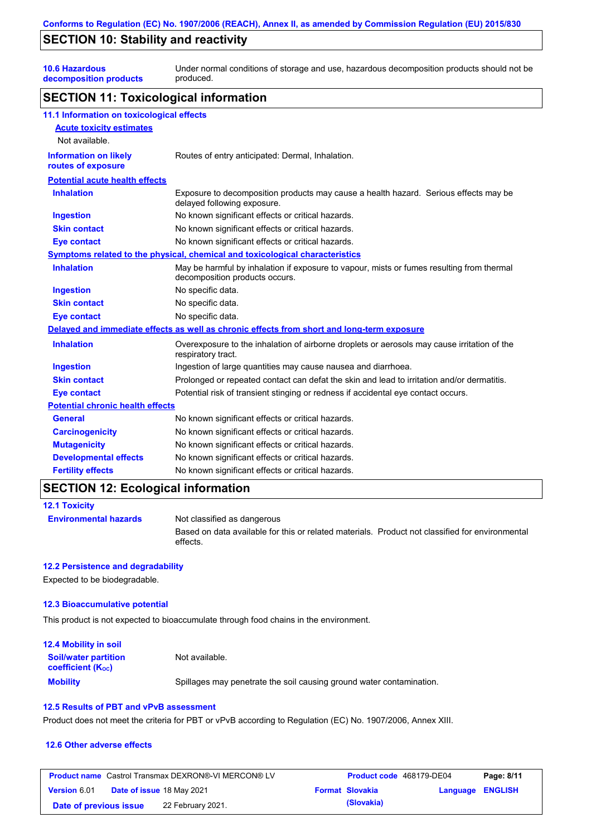# **SECTION 10: Stability and reactivity**

**10.6 Hazardous decomposition products** Under normal conditions of storage and use, hazardous decomposition products should not be produced.

### **SECTION 11: Toxicological information**

| 11.1 Information on toxicological effects          |                                                                                                                             |
|----------------------------------------------------|-----------------------------------------------------------------------------------------------------------------------------|
| <b>Acute toxicity estimates</b>                    |                                                                                                                             |
| Not available.                                     |                                                                                                                             |
| <b>Information on likely</b><br>routes of exposure | Routes of entry anticipated: Dermal, Inhalation.                                                                            |
| <b>Potential acute health effects</b>              |                                                                                                                             |
| <b>Inhalation</b>                                  | Exposure to decomposition products may cause a health hazard. Serious effects may be<br>delayed following exposure.         |
| <b>Ingestion</b>                                   | No known significant effects or critical hazards.                                                                           |
| <b>Skin contact</b>                                | No known significant effects or critical hazards.                                                                           |
| <b>Eye contact</b>                                 | No known significant effects or critical hazards.                                                                           |
|                                                    | Symptoms related to the physical, chemical and toxicological characteristics                                                |
| <b>Inhalation</b>                                  | May be harmful by inhalation if exposure to vapour, mists or fumes resulting from thermal<br>decomposition products occurs. |
| <b>Ingestion</b>                                   | No specific data.                                                                                                           |
| <b>Skin contact</b>                                | No specific data.                                                                                                           |
| <b>Eye contact</b>                                 | No specific data.                                                                                                           |
|                                                    | Delayed and immediate effects as well as chronic effects from short and long-term exposure                                  |
| <b>Inhalation</b>                                  | Overexposure to the inhalation of airborne droplets or aerosols may cause irritation of the<br>respiratory tract.           |
| <b>Ingestion</b>                                   | Ingestion of large quantities may cause nausea and diarrhoea.                                                               |
| <b>Skin contact</b>                                | Prolonged or repeated contact can defat the skin and lead to irritation and/or dermatitis.                                  |
| <b>Eye contact</b>                                 | Potential risk of transient stinging or redness if accidental eye contact occurs.                                           |
| <b>Potential chronic health effects</b>            |                                                                                                                             |
| <b>General</b>                                     | No known significant effects or critical hazards.                                                                           |
| <b>Carcinogenicity</b>                             | No known significant effects or critical hazards.                                                                           |
| <b>Mutagenicity</b>                                | No known significant effects or critical hazards.                                                                           |
| <b>Developmental effects</b>                       | No known significant effects or critical hazards.                                                                           |
| <b>Fertility effects</b>                           | No known significant effects or critical hazards.                                                                           |

# **SECTION 12: Ecological information**

| <b>12.1 Toxicity</b>         |                                                                                                             |
|------------------------------|-------------------------------------------------------------------------------------------------------------|
| <b>Environmental hazards</b> | Not classified as dangerous                                                                                 |
|                              | Based on data available for this or related materials. Product not classified for environmental<br>effects. |

### **12.2 Persistence and degradability**

Expected to be biodegradable.

### **12.3 Bioaccumulative potential**

This product is not expected to bioaccumulate through food chains in the environment.

| <b>12.4 Mobility in soil</b>                            |                                                                      |
|---------------------------------------------------------|----------------------------------------------------------------------|
| <b>Soil/water partition</b><br><b>coefficient (Koc)</b> | Not available.                                                       |
| <b>Mobility</b>                                         | Spillages may penetrate the soil causing ground water contamination. |

### **12.5 Results of PBT and vPvB assessment**

Product does not meet the criteria for PBT or vPvB according to Regulation (EC) No. 1907/2006, Annex XIII.

### **12.6 Other adverse effects**

| <b>Product name</b> Castrol Transmax DEXRON®-VI MERCON® LV |  | <b>Product code</b> 468179-DE04  |  | Page: 8/11             |                  |  |
|------------------------------------------------------------|--|----------------------------------|--|------------------------|------------------|--|
| <b>Version 6.01</b>                                        |  | <b>Date of issue 18 May 2021</b> |  | <b>Format Slovakia</b> | Language ENGLISH |  |
| Date of previous issue                                     |  | 22 February 2021.                |  | (Slovakia)             |                  |  |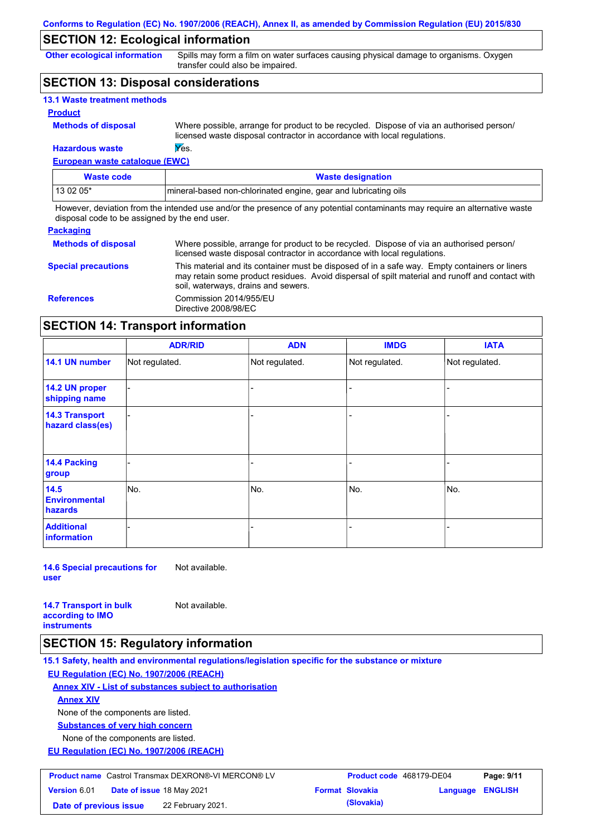### **SECTION 12: Ecological information**

**Other ecological information**

Spills may form a film on water surfaces causing physical damage to organisms. Oxygen transfer could also be impaired.

### **SECTION 13: Disposal considerations**

| 13.1 Waste treatment methods |                                  |
|------------------------------|----------------------------------|
| <b>Product</b>               |                                  |
| <b>Methods of disposal</b>   | Where possible<br>liconsod waste |

le, arrange for product to be recycled. Dispose of via an authorised person/ licensed waste disposal contractor in accordance with local regulations.

### **European waste catalogue (EWC) Hazardous waste Wes.**

| Waste code | <b>Waste designation</b>                                         |
|------------|------------------------------------------------------------------|
| 13 02 05*  | Imineral-based non-chlorinated engine, gear and lubricating oils |

However, deviation from the intended use and/or the presence of any potential contaminants may require an alternative waste disposal code to be assigned by the end user.

#### **Packaging**

| <b>Methods of disposal</b> | Where possible, arrange for product to be recycled. Dispose of via an authorised person/<br>licensed waste disposal contractor in accordance with local regulations.                                                                    |
|----------------------------|-----------------------------------------------------------------------------------------------------------------------------------------------------------------------------------------------------------------------------------------|
| <b>Special precautions</b> | This material and its container must be disposed of in a safe way. Empty containers or liners<br>may retain some product residues. Avoid dispersal of spilt material and runoff and contact with<br>soil, waterways, drains and sewers. |
| <b>References</b>          | Commission 2014/955/EU<br>Directive 2008/98/EC                                                                                                                                                                                          |

### **SECTION 14: Transport information**

|                                                | <b>ADR/RID</b> | <b>ADN</b>     | <b>IMDG</b>    | <b>IATA</b>    |
|------------------------------------------------|----------------|----------------|----------------|----------------|
| 14.1 UN number                                 | Not regulated. | Not regulated. | Not regulated. | Not regulated. |
| 14.2 UN proper<br>shipping name                |                |                |                |                |
| <b>14.3 Transport</b><br>hazard class(es)      |                |                |                |                |
| 14.4 Packing<br>group                          |                |                |                |                |
| 14.5<br><b>Environmental</b><br><b>hazards</b> | No.            | No.            | No.            | No.            |
| <b>Additional</b><br>information               |                |                |                |                |

**14.6 Special precautions for user** Not available.

**14.7 Transport in bulk according to IMO instruments** Not available.

# **SECTION 15: Regulatory information**

**15.1 Safety, health and environmental regulations/legislation specific for the substance or mixture EU Regulation (EC) No. 1907/2006 (REACH)**

**Annex XIV - List of substances subject to authorisation Substances of very high concern** None of the components are listed. **Annex XIV**

None of the components are listed.

**EU Regulation (EC) No. 1907/2006 (REACH)**

| <b>Product name</b> Castrol Transmax DEXRON®-VI MERCON® LV |  | <b>Product code</b> 468179-DE04 |  | Page: 9/11             |                         |  |
|------------------------------------------------------------|--|---------------------------------|--|------------------------|-------------------------|--|
| <b>Version 6.01</b>                                        |  | Date of issue 18 May 2021       |  | <b>Format Slovakia</b> | <b>Language ENGLISH</b> |  |
| Date of previous issue                                     |  | 22 February 2021.               |  | (Slovakia)             |                         |  |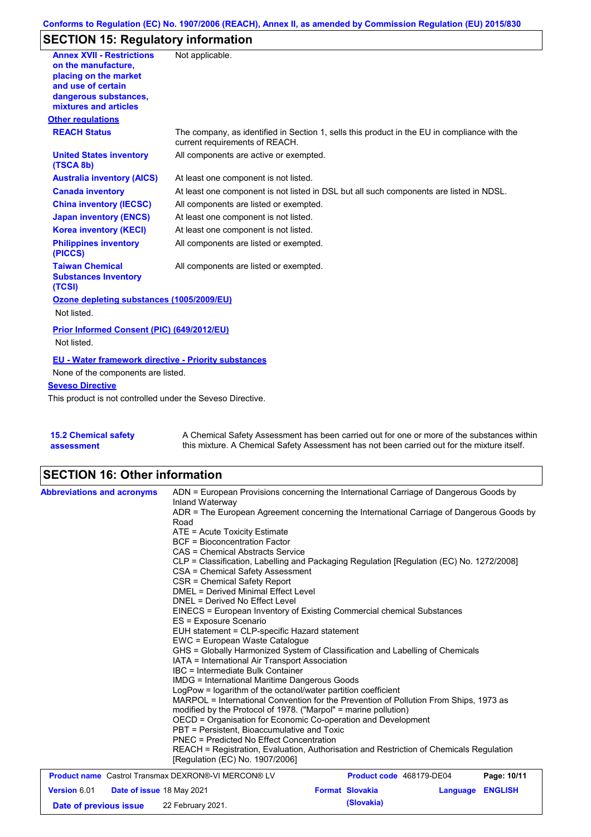## **Conforms to Regulation (EC) No. 1907/2006 (REACH), Annex II, as amended by Commission Regulation (EU) 2015/830**

# **SECTION 15: Regulatory information**

| <b>Annex XVII - Restrictions</b>                            | Not applicable.                                                                              |
|-------------------------------------------------------------|----------------------------------------------------------------------------------------------|
| on the manufacture,                                         |                                                                                              |
| placing on the market                                       |                                                                                              |
| and use of certain                                          |                                                                                              |
| dangerous substances,<br>mixtures and articles              |                                                                                              |
| <b>Other regulations</b>                                    |                                                                                              |
| <b>REACH Status</b>                                         | The company, as identified in Section 1, sells this product in the EU in compliance with the |
|                                                             | current requirements of REACH.                                                               |
| <b>United States inventory</b><br>(TSCA 8b)                 | All components are active or exempted.                                                       |
| <b>Australia inventory (AICS)</b>                           | At least one component is not listed.                                                        |
| <b>Canada inventory</b>                                     | At least one component is not listed in DSL but all such components are listed in NDSL.      |
| <b>China inventory (IECSC)</b>                              | All components are listed or exempted.                                                       |
| <b>Japan inventory (ENCS)</b>                               | At least one component is not listed.                                                        |
| <b>Korea inventory (KECI)</b>                               | At least one component is not listed.                                                        |
| <b>Philippines inventory</b><br>(PICCS)                     | All components are listed or exempted.                                                       |
| <b>Taiwan Chemical</b>                                      | All components are listed or exempted.                                                       |
| <b>Substances Inventory</b><br>(TCSI)                       |                                                                                              |
| Ozone depleting substances (1005/2009/EU)                   |                                                                                              |
| Not listed.                                                 |                                                                                              |
| Prior Informed Consent (PIC) (649/2012/EU)                  |                                                                                              |
| Not listed.                                                 |                                                                                              |
| <b>EU - Water framework directive - Priority substances</b> |                                                                                              |
| None of the components are listed.                          |                                                                                              |
| <b>Seveso Directive</b>                                     |                                                                                              |
| This product is not controlled under the Seveso Directive.  |                                                                                              |
|                                                             |                                                                                              |
| <b>AED Chamical octatus</b>                                 | A Chamical Cafety Assessment has been corried out for ano or more of the substances within   |
|                                                             |                                                                                              |

| <b>15.2 Chemical safety</b> | A Chemical Safety Assessment has been carried out for one or more of the substances within  |
|-----------------------------|---------------------------------------------------------------------------------------------|
| assessment                  | this mixture. A Chemical Safety Assessment has not been carried out for the mixture itself. |

# **SECTION 16: Other information**

| <b>Abbreviations and acronyms</b>                          | ADN = European Provisions concerning the International Carriage of Dangerous Goods by<br>Inland Waterway                                                                                                                                                                                                                                                                                                                                                                                                                                                                                                                 |                          |          |                |  |  |
|------------------------------------------------------------|--------------------------------------------------------------------------------------------------------------------------------------------------------------------------------------------------------------------------------------------------------------------------------------------------------------------------------------------------------------------------------------------------------------------------------------------------------------------------------------------------------------------------------------------------------------------------------------------------------------------------|--------------------------|----------|----------------|--|--|
|                                                            | ADR = The European Agreement concerning the International Carriage of Dangerous Goods by<br>Road                                                                                                                                                                                                                                                                                                                                                                                                                                                                                                                         |                          |          |                |  |  |
|                                                            |                                                                                                                                                                                                                                                                                                                                                                                                                                                                                                                                                                                                                          |                          |          |                |  |  |
|                                                            | ATE = Acute Toxicity Estimate<br><b>BCF</b> = Bioconcentration Factor<br>CAS = Chemical Abstracts Service                                                                                                                                                                                                                                                                                                                                                                                                                                                                                                                |                          |          |                |  |  |
|                                                            |                                                                                                                                                                                                                                                                                                                                                                                                                                                                                                                                                                                                                          |                          |          |                |  |  |
|                                                            | CLP = Classification, Labelling and Packaging Regulation [Regulation (EC) No. 1272/2008]                                                                                                                                                                                                                                                                                                                                                                                                                                                                                                                                 |                          |          |                |  |  |
|                                                            | CSA = Chemical Safety Assessment                                                                                                                                                                                                                                                                                                                                                                                                                                                                                                                                                                                         |                          |          |                |  |  |
|                                                            | CSR = Chemical Safety Report                                                                                                                                                                                                                                                                                                                                                                                                                                                                                                                                                                                             |                          |          |                |  |  |
|                                                            | DMEL = Derived Minimal Effect Level                                                                                                                                                                                                                                                                                                                                                                                                                                                                                                                                                                                      |                          |          |                |  |  |
|                                                            | DNEL = Derived No Effect Level                                                                                                                                                                                                                                                                                                                                                                                                                                                                                                                                                                                           |                          |          |                |  |  |
|                                                            | EINECS = European Inventory of Existing Commercial chemical Substances<br>ES = Exposure Scenario<br>EUH statement = CLP-specific Hazard statement<br>EWC = European Waste Catalogue                                                                                                                                                                                                                                                                                                                                                                                                                                      |                          |          |                |  |  |
|                                                            |                                                                                                                                                                                                                                                                                                                                                                                                                                                                                                                                                                                                                          |                          |          |                |  |  |
|                                                            |                                                                                                                                                                                                                                                                                                                                                                                                                                                                                                                                                                                                                          |                          |          |                |  |  |
|                                                            |                                                                                                                                                                                                                                                                                                                                                                                                                                                                                                                                                                                                                          |                          |          |                |  |  |
|                                                            | GHS = Globally Harmonized System of Classification and Labelling of Chemicals                                                                                                                                                                                                                                                                                                                                                                                                                                                                                                                                            |                          |          |                |  |  |
|                                                            | IATA = International Air Transport Association<br>IBC = Intermediate Bulk Container<br>IMDG = International Maritime Dangerous Goods<br>LogPow = logarithm of the octanol/water partition coefficient<br>MARPOL = International Convention for the Prevention of Pollution From Ships, 1973 as<br>modified by the Protocol of 1978. ("Marpol" = marine pollution)<br>OECD = Organisation for Economic Co-operation and Development<br>PBT = Persistent. Bioaccumulative and Toxic<br>PNEC = Predicted No Effect Concentration<br>REACH = Registration, Evaluation, Authorisation and Restriction of Chemicals Regulation |                          |          |                |  |  |
|                                                            |                                                                                                                                                                                                                                                                                                                                                                                                                                                                                                                                                                                                                          |                          |          |                |  |  |
|                                                            |                                                                                                                                                                                                                                                                                                                                                                                                                                                                                                                                                                                                                          |                          |          |                |  |  |
|                                                            |                                                                                                                                                                                                                                                                                                                                                                                                                                                                                                                                                                                                                          |                          |          |                |  |  |
|                                                            |                                                                                                                                                                                                                                                                                                                                                                                                                                                                                                                                                                                                                          |                          |          |                |  |  |
|                                                            |                                                                                                                                                                                                                                                                                                                                                                                                                                                                                                                                                                                                                          |                          |          |                |  |  |
|                                                            |                                                                                                                                                                                                                                                                                                                                                                                                                                                                                                                                                                                                                          |                          |          |                |  |  |
|                                                            |                                                                                                                                                                                                                                                                                                                                                                                                                                                                                                                                                                                                                          |                          |          |                |  |  |
|                                                            |                                                                                                                                                                                                                                                                                                                                                                                                                                                                                                                                                                                                                          |                          |          |                |  |  |
|                                                            | [Regulation (EC) No. 1907/2006]                                                                                                                                                                                                                                                                                                                                                                                                                                                                                                                                                                                          |                          |          |                |  |  |
| <b>Product name</b> Castrol Transmax DEXRON®-VI MERCON® LV |                                                                                                                                                                                                                                                                                                                                                                                                                                                                                                                                                                                                                          | Product code 468179-DE04 |          | Page: 10/11    |  |  |
| Version 6.01<br><b>Date of issue 18 May 2021</b>           |                                                                                                                                                                                                                                                                                                                                                                                                                                                                                                                                                                                                                          | <b>Format Slovakia</b>   | Language | <b>ENGLISH</b> |  |  |
| Date of previous issue                                     | 22 February 2021.                                                                                                                                                                                                                                                                                                                                                                                                                                                                                                                                                                                                        | (Slovakia)               |          |                |  |  |